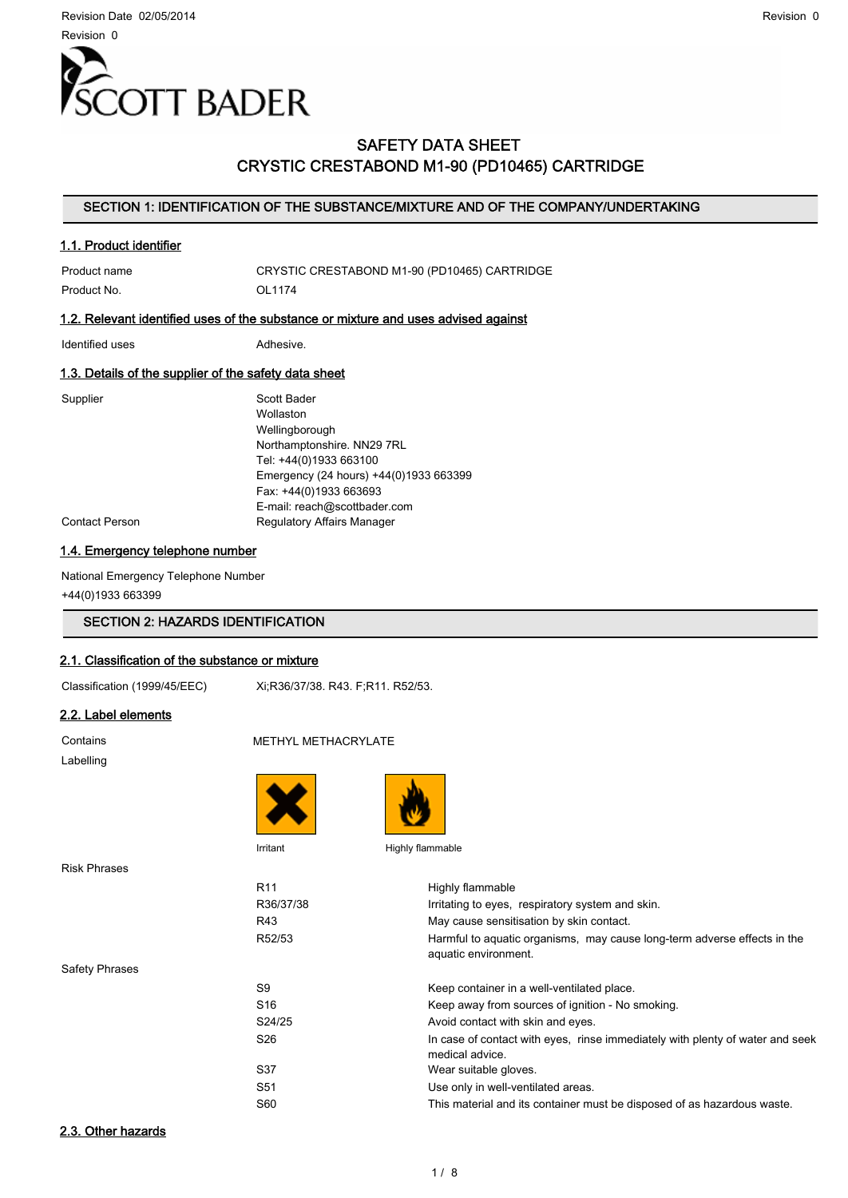

### SAFETY DATA SHEET CRYSTIC CRESTABOND M1-90 (PD10465) CARTRIDGE

#### SECTION 1: IDENTIFICATION OF THE SUBSTANCE/MIXTURE AND OF THE COMPANY/UNDERTAKING

#### 1.1. Product identifier

Product No. 2012 1174

Product name CRYSTIC CRESTABOND M1-90 (PD10465) CARTRIDGE

#### 1.2. Relevant identified uses of the substance or mixture and uses advised against

Identified uses **Adhesive.** 

#### 1.3. Details of the supplier of the safety data sheet

Supplier Supplier Scott Bader Wollaston Wellingborough Northamptonshire. NN29 7RL Tel: +44(0)1933 663100 Emergency (24 hours) +44(0)1933 663399 Fax: +44(0)1933 663693 E-mail: reach@scottbader.com Contact Person **Regulatory Affairs Manager** 

#### 1.4. Emergency telephone number

National Emergency Telephone Number +44(0)1933 663399

### SECTION 2: HAZARDS IDENTIFICATION

#### 2.1. Classification of the substance or mixture

Classification (1999/45/EEC) Xi;R36/37/38. R43. F;R11. R52/53.

#### 2.2. Label elements

Contains METHYL METHACRYLATE Labelling





Irritant Highly flammable

Risk Phrases

R11 Highly flammable

Safety Phrases

| R36/37/38       | Irritating to eyes, respiratory system and skin.                                                 |
|-----------------|--------------------------------------------------------------------------------------------------|
| R43             | May cause sensitisation by skin contact.                                                         |
| R52/53          | Harmful to aquatic organisms, may cause long-term adverse effects in the<br>aquatic environment. |
| S9              | Keep container in a well-ventilated place.                                                       |
| S <sub>16</sub> | Keep away from sources of ignition - No smoking.                                                 |
| S24/25          | Avoid contact with skin and eyes.                                                                |
| S <sub>26</sub> | In case of contact with eyes, rinse immediately with plenty of water and seek<br>medical advice. |
| S37             | Wear suitable gloves.                                                                            |
| S <sub>51</sub> | Use only in well-ventilated areas.                                                               |
| S60             | This material and its container must be disposed of as hazardous waste.                          |
|                 |                                                                                                  |

### 2.3. Other hazards

Revision 0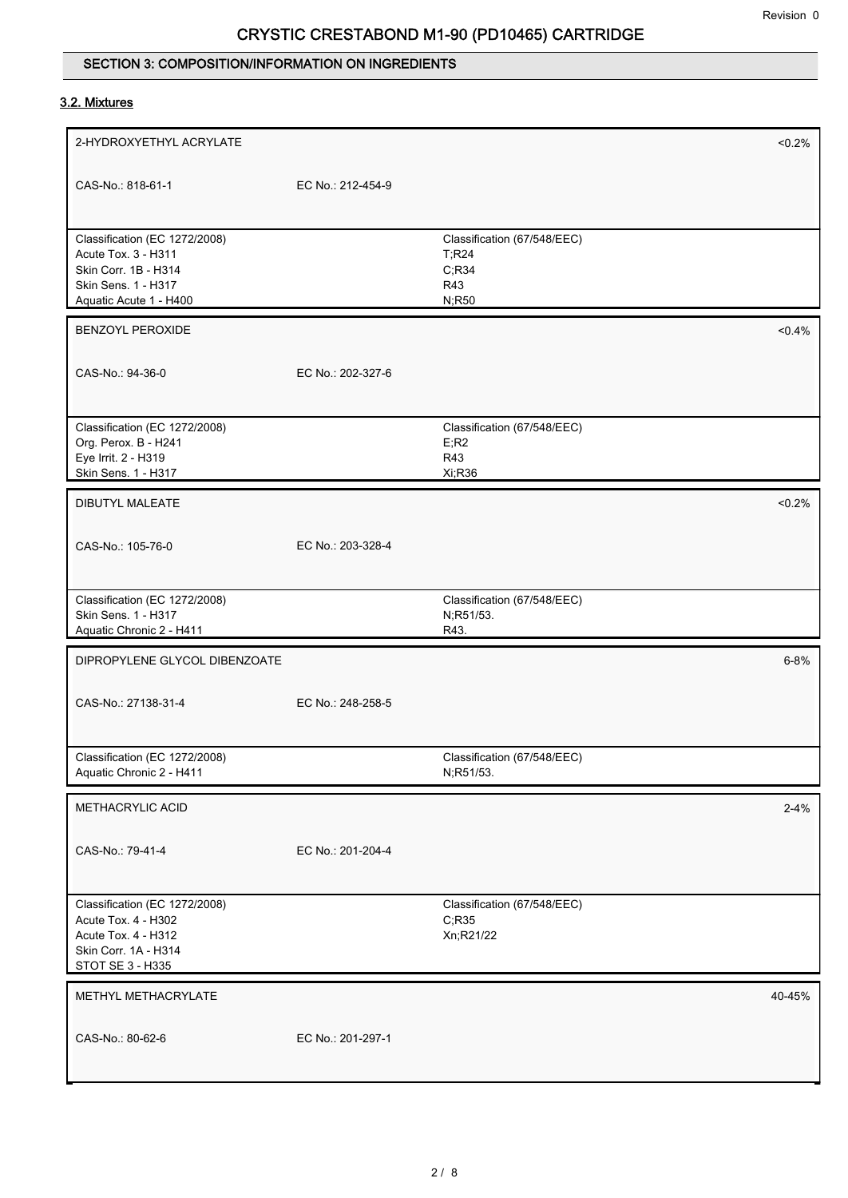## SECTION 3: COMPOSITION/INFORMATION ON INGREDIENTS

## 3.2. Mixtures

| 2-HYDROXYETHYL ACRYLATE                                                                                                 |                   |                                                    | < 0.2%    |
|-------------------------------------------------------------------------------------------------------------------------|-------------------|----------------------------------------------------|-----------|
| CAS-No.: 818-61-1                                                                                                       | EC No.: 212-454-9 |                                                    |           |
| Classification (EC 1272/2008)<br>Acute Tox. 3 - H311                                                                    |                   | Classification (67/548/EEC)<br>T; R24              |           |
| Skin Corr. 1B - H314                                                                                                    |                   | C; R34                                             |           |
| Skin Sens. 1 - H317                                                                                                     |                   | R43                                                |           |
| Aquatic Acute 1 - H400                                                                                                  |                   | N;R50                                              |           |
| <b>BENZOYL PEROXIDE</b>                                                                                                 |                   |                                                    | $< 0.4\%$ |
| CAS-No.: 94-36-0                                                                                                        | EC No.: 202-327-6 |                                                    |           |
| Classification (EC 1272/2008)                                                                                           |                   | Classification (67/548/EEC)                        |           |
| Org. Perox. B - H241                                                                                                    |                   | E, R2                                              |           |
| Eye Irrit. 2 - H319                                                                                                     |                   | R43                                                |           |
| Skin Sens. 1 - H317                                                                                                     |                   | Xi;R36                                             |           |
| <b>DIBUTYL MALEATE</b>                                                                                                  |                   |                                                    | $< 0.2\%$ |
| CAS-No.: 105-76-0                                                                                                       | EC No.: 203-328-4 |                                                    |           |
|                                                                                                                         |                   |                                                    |           |
| Classification (EC 1272/2008)                                                                                           |                   | Classification (67/548/EEC)                        |           |
| Skin Sens. 1 - H317                                                                                                     |                   | N;R51/53.                                          |           |
| Aquatic Chronic 2 - H411                                                                                                |                   | R43.                                               |           |
| DIPROPYLENE GLYCOL DIBENZOATE                                                                                           |                   |                                                    | $6 - 8%$  |
| CAS-No.: 27138-31-4                                                                                                     | EC No.: 248-258-5 |                                                    |           |
|                                                                                                                         |                   |                                                    |           |
| Classification (EC 1272/2008)<br>Aquatic Chronic 2 - H411                                                               |                   | Classification (67/548/EEC)<br>N;R51/53.           |           |
|                                                                                                                         |                   |                                                    |           |
| METHACRYLIC ACID                                                                                                        |                   |                                                    | $2 - 4%$  |
| CAS-No.: 79-41-4                                                                                                        | EC No.: 201-204-4 |                                                    |           |
| Classification (EC 1272/2008)<br>Acute Tox. 4 - H302<br>Acute Tox. 4 - H312<br>Skin Corr. 1A - H314<br>STOT SE 3 - H335 |                   | Classification (67/548/EEC)<br>C; R35<br>Xn;R21/22 |           |
| METHYL METHACRYLATE                                                                                                     |                   |                                                    | 40-45%    |
| CAS-No.: 80-62-6                                                                                                        | EC No.: 201-297-1 |                                                    |           |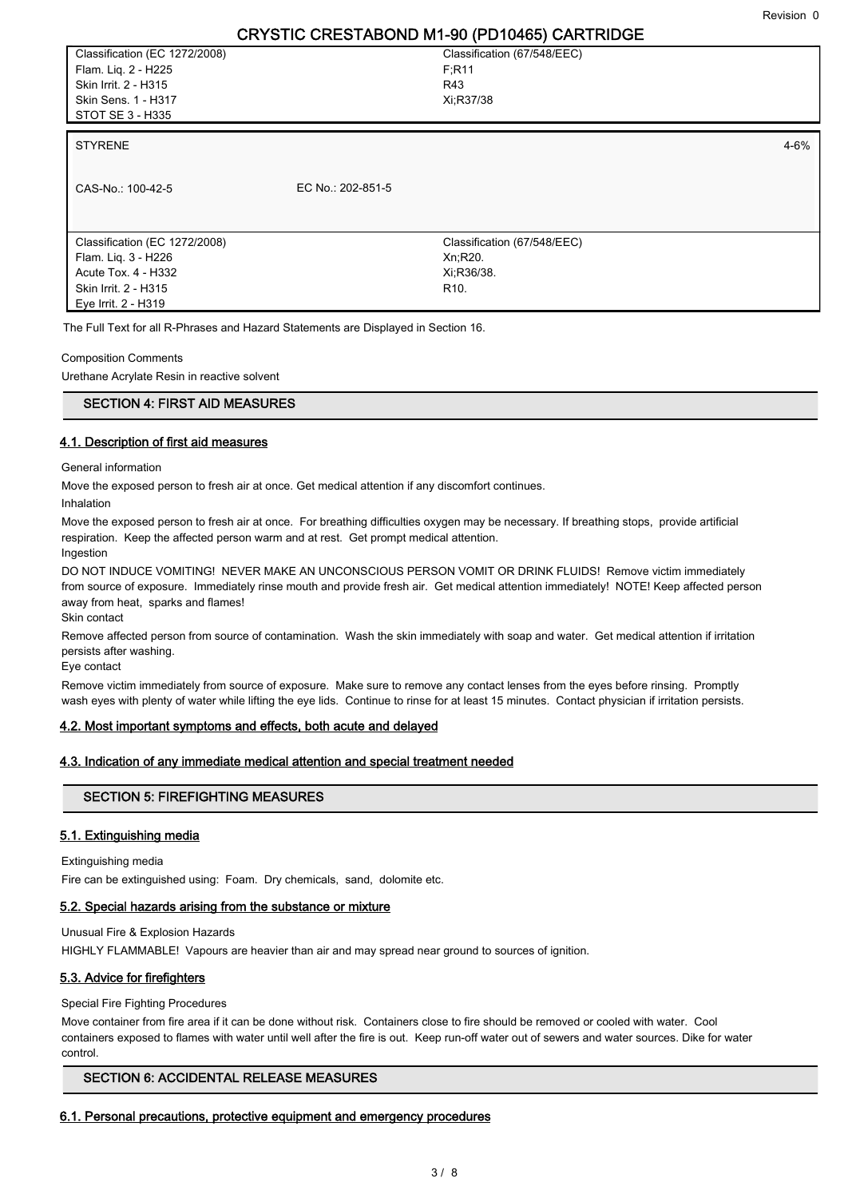Classification (EC 1272/2008) Flam. Liq. 2 - H225 Skin Irrit. 2 - H315 Skin Sens. 1 - H317 STOT SE 3 - H335

Classification (67/548/EEC) F;R11 R43 Xi;R37/38

#### STYRENE and the state of the state of the state of the state of the state of the state of the state of the state of the state of the state of the state of the state of the state of the state of the state of the state of th

CAS-No.: 100-42-5 EC No.: 202-851-5 Classification (67/548/EEC) Xn;R20. Xi;R36/38. R10. Classification (EC 1272/2008) Flam. Liq. 3 - H226 Acute Tox. 4 - H332 Skin Irrit. 2 - H315 Eye Irrit. 2 - H319

The Full Text for all R-Phrases and Hazard Statements are Displayed in Section 16.

#### Composition Comments

Urethane Acrylate Resin in reactive solvent

#### SECTION 4: FIRST AID MEASURES

#### 4.1. Description of first aid measures

General information

Move the exposed person to fresh air at once. Get medical attention if any discomfort continues.

Inhalation

Move the exposed person to fresh air at once. For breathing difficulties oxygen may be necessary. If breathing stops, provide artificial respiration. Keep the affected person warm and at rest. Get prompt medical attention.

Ingestion

DO NOT INDUCE VOMITING! NEVER MAKE AN UNCONSCIOUS PERSON VOMIT OR DRINK FLUIDS! Remove victim immediately from source of exposure. Immediately rinse mouth and provide fresh air. Get medical attention immediately! NOTE! Keep affected person away from heat, sparks and flames!

Skin contact

Remove affected person from source of contamination. Wash the skin immediately with soap and water. Get medical attention if irritation persists after washing.

Eye contact

Remove victim immediately from source of exposure. Make sure to remove any contact lenses from the eyes before rinsing. Promptly wash eyes with plenty of water while lifting the eye lids. Continue to rinse for at least 15 minutes. Contact physician if irritation persists.

#### 4.2. Most important symptoms and effects, both acute and delayed

#### 4.3. Indication of any immediate medical attention and special treatment needed

#### SECTION 5: FIREFIGHTING MEASURES

#### 5.1. Extinguishing media

Extinguishing media

Fire can be extinguished using: Foam. Dry chemicals, sand, dolomite etc.

#### 5.2. Special hazards arising from the substance or mixture

Unusual Fire & Explosion Hazards

HIGHLY FLAMMABLE! Vapours are heavier than air and may spread near ground to sources of ignition.

#### 5.3. Advice for firefighters

Special Fire Fighting Procedures

Move container from fire area if it can be done without risk. Containers close to fire should be removed or cooled with water. Cool containers exposed to flames with water until well after the fire is out. Keep run-off water out of sewers and water sources. Dike for water control.

#### SECTION 6: ACCIDENTAL RELEASE MEASURES

#### 6.1. Personal precautions, protective equipment and emergency procedures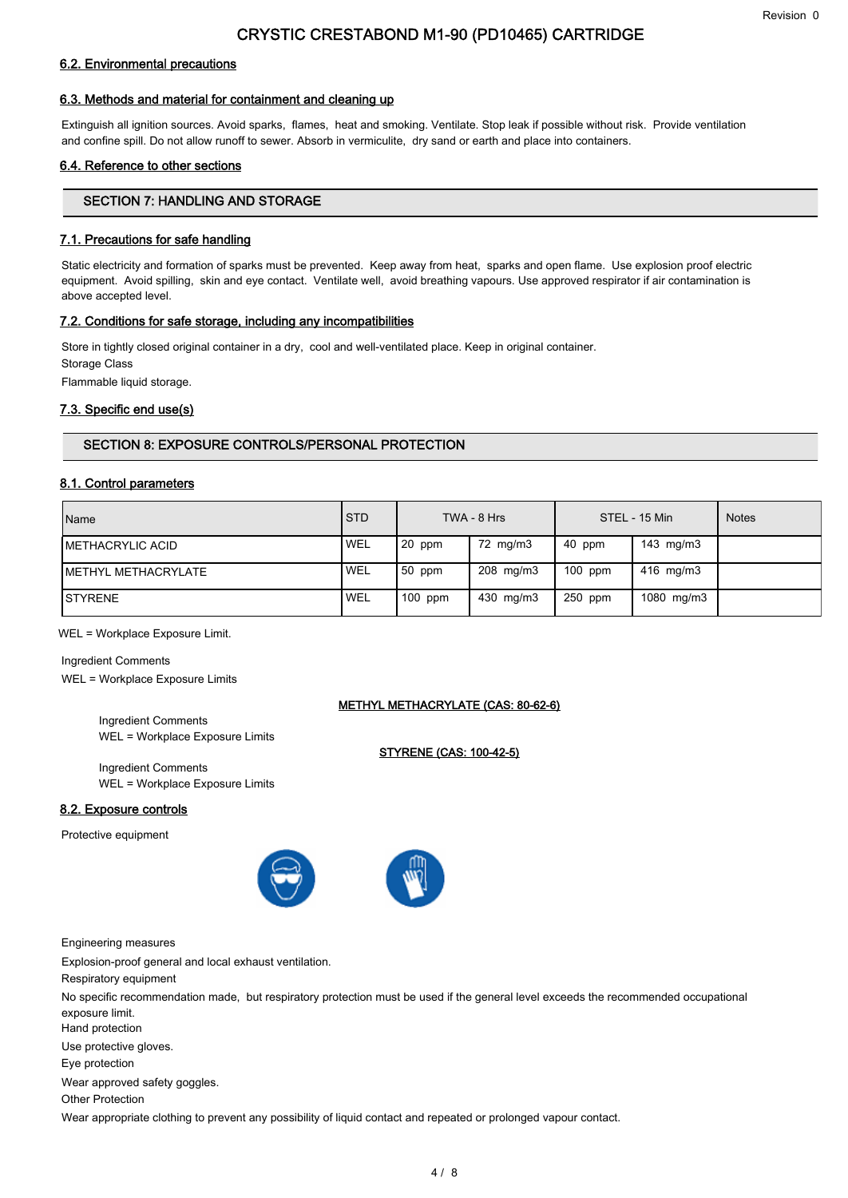### 6.2. Environmental precautions

### 6.3. Methods and material for containment and cleaning up

Extinguish all ignition sources. Avoid sparks, flames, heat and smoking. Ventilate. Stop leak if possible without risk. Provide ventilation and confine spill. Do not allow runoff to sewer. Absorb in vermiculite, dry sand or earth and place into containers.

### 6.4. Reference to other sections

### SECTION 7: HANDLING AND STORAGE

### 7.1. Precautions for safe handling

Static electricity and formation of sparks must be prevented. Keep away from heat, sparks and open flame. Use explosion proof electric equipment. Avoid spilling, skin and eye contact. Ventilate well, avoid breathing vapours. Use approved respirator if air contamination is above accepted level.

### 7.2. Conditions for safe storage, including any incompatibilities

Store in tightly closed original container in a dry, cool and well-ventilated place. Keep in original container. Storage Class

Flammable liquid storage.

### 7.3. Specific end use(s)

### SECTION 8: EXPOSURE CONTROLS/PERSONAL PROTECTION

### 8.1. Control parameters

| Name                     | I STD      |           | TWA - 8 Hrs |           | STEL - 15 Min  | <b>Notes</b> |
|--------------------------|------------|-----------|-------------|-----------|----------------|--------------|
| <b>IMETHACRYLIC ACID</b> | <b>WEL</b> | 20 ppm    | 72 mg/m3    | 40 ppm    | 143 mg/m3      |              |
| METHYL METHACRYLATE      | <b>WEL</b> | 50 ppm    | 208 mg/m3   | $100$ ppm | $416$ mg/m $3$ |              |
| <b>ISTYRENE</b>          | <b>WEL</b> | $100$ ppm | 430 mg/m3   | 250 ppm   | 1080 mg/m3     |              |

METHYL METHACRYLATE (CAS: 80-62-6)

STYRENE (CAS: 100-42-5)

WEL = Workplace Exposure Limit.

Ingredient Comments WEL = Workplace Exposure Limits

> Ingredient Comments WEL = Workplace Exposure Limits

> Ingredient Comments WEL = Workplace Exposure Limits

### 8.2. Exposure controls

Protective equipment





Engineering measures

Explosion-proof general and local exhaust ventilation.

Respiratory equipment

No specific recommendation made, but respiratory protection must be used if the general level exceeds the recommended occupational exposure limit.

Hand protection

Use protective gloves.

Eye protection

Wear approved safety goggles.

Other Protection

Wear appropriate clothing to prevent any possibility of liquid contact and repeated or prolonged vapour contact.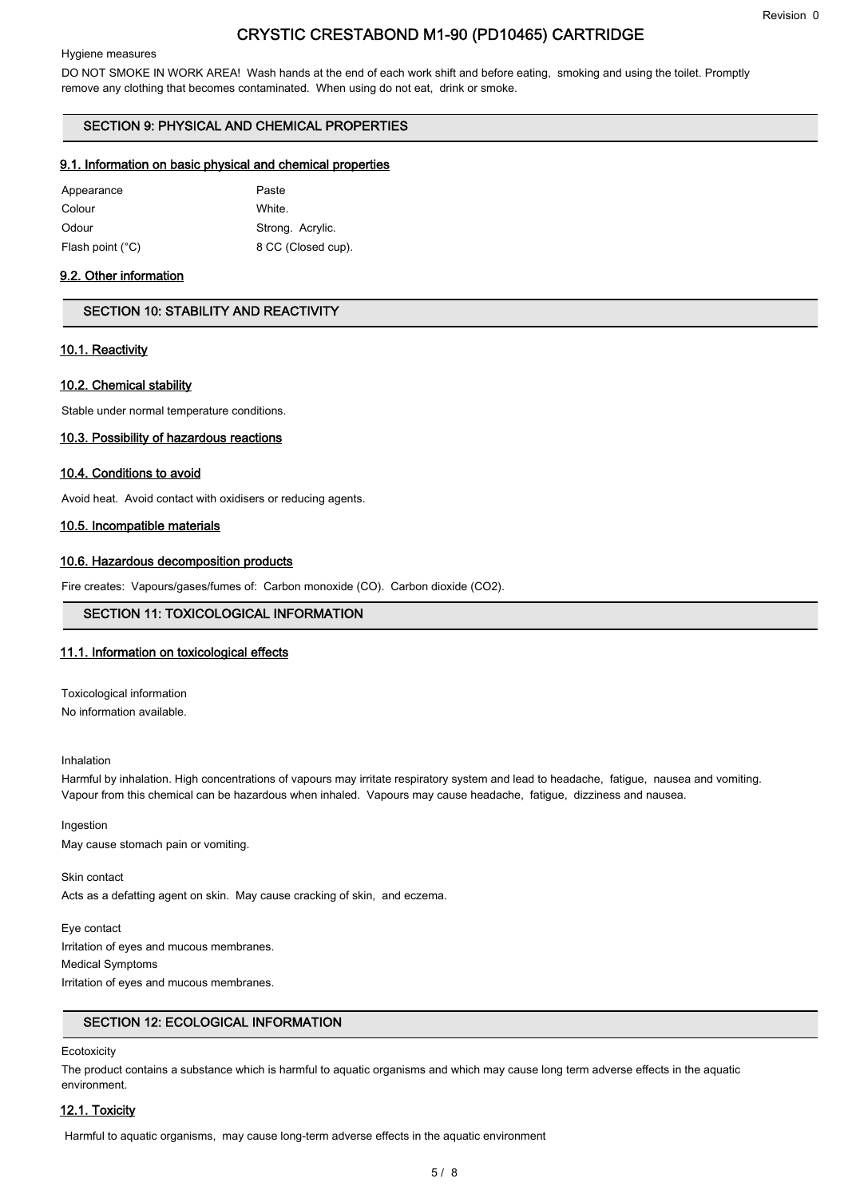#### Revision 0

### CRYSTIC CRESTABOND M1-90 (PD10465) CARTRIDGE

#### Hygiene measures

DO NOT SMOKE IN WORK AREA! Wash hands at the end of each work shift and before eating, smoking and using the toilet. Promptly remove any clothing that becomes contaminated. When using do not eat, drink or smoke.

#### SECTION 9: PHYSICAL AND CHEMICAL PROPERTIES

#### 9.1. Information on basic physical and chemical properties

| Appearance                | Paste              |
|---------------------------|--------------------|
| Colour                    | White.             |
| Odour                     | Strong. Acrylic.   |
| Flash point $(^{\circ}C)$ | 8 CC (Closed cup). |

#### 9.2. Other information

#### SECTION 10: STABILITY AND REACTIVITY

#### 10.1. Reactivity

#### 10.2. Chemical stability

Stable under normal temperature conditions.

#### 10.3. Possibility of hazardous reactions

#### 10.4. Conditions to avoid

Avoid heat. Avoid contact with oxidisers or reducing agents.

#### 10.5. Incompatible materials

#### 10.6. Hazardous decomposition products

Fire creates: Vapours/gases/fumes of: Carbon monoxide (CO). Carbon dioxide (CO2).

#### SECTION 11: TOXICOLOGICAL INFORMATION

#### 11.1. Information on toxicological effects

Toxicological information No information available.

#### Inhalation

Harmful by inhalation. High concentrations of vapours may irritate respiratory system and lead to headache, fatigue, nausea and vomiting. Vapour from this chemical can be hazardous when inhaled. Vapours may cause headache, fatigue, dizziness and nausea.

Ingestion May cause stomach pain or vomiting.

Skin contact Acts as a defatting agent on skin. May cause cracking of skin, and eczema.

Eye contact Irritation of eyes and mucous membranes. Medical Symptoms Irritation of eyes and mucous membranes.

### SECTION 12: ECOLOGICAL INFORMATION

#### **Ecotoxicity**

The product contains a substance which is harmful to aquatic organisms and which may cause long term adverse effects in the aquatic environment.

#### 12.1. Toxicity

Harmful to aquatic organisms, may cause long-term adverse effects in the aquatic environment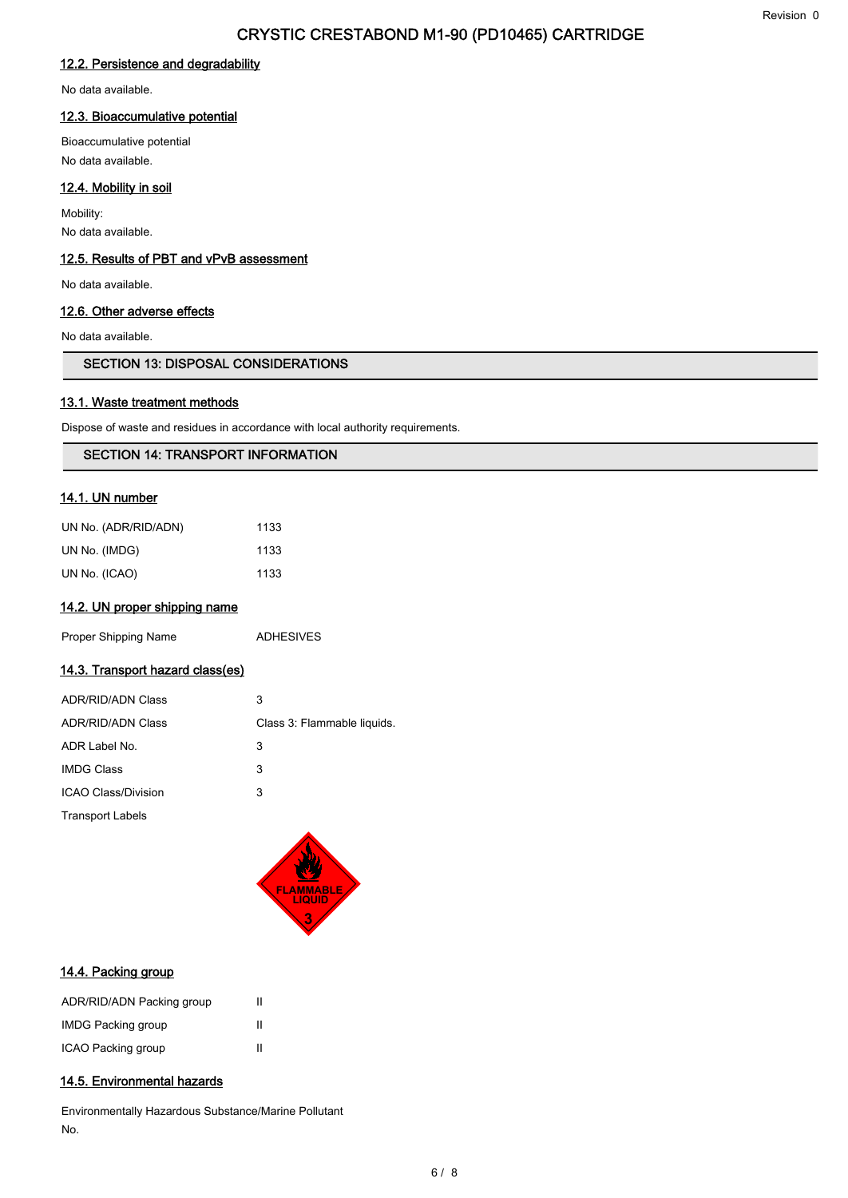#### 12.2. Persistence and degradability

No data available.

#### 12.3. Bioaccumulative potential

Bioaccumulative potential No data available.

### 12.4. Mobility in soil

Mobility: No data available.

#### 12.5. Results of PBT and vPvB assessment

No data available.

#### 12.6. Other adverse effects

No data available.

#### SECTION 13: DISPOSAL CONSIDERATIONS

#### 13.1. Waste treatment methods

Dispose of waste and residues in accordance with local authority requirements.

#### SECTION 14: TRANSPORT INFORMATION

### 14.1. UN number

| UN No. (ADR/RID/ADN) | 1133 |
|----------------------|------|
| UN No. (IMDG)        | 1133 |
| UN No. (ICAO)        | 1133 |

#### 14.2. UN proper shipping name

Proper Shipping Name **ADHESIVES** 

### 14.3. Transport hazard class(es)

| ADR/RID/ADN Class        | 3                           |
|--------------------------|-----------------------------|
| <b>ADR/RID/ADN Class</b> | Class 3: Flammable liquids. |
| ADR Label No.            | 3                           |
| <b>IMDG Class</b>        | 3                           |
| ICAO Class/Division      | 3                           |
| <b>Transport Labels</b>  |                             |



#### 14.4. Packing group

| ADR/RID/ADN Packing group | Ш |
|---------------------------|---|
| <b>IMDG Packing group</b> | Ш |
| ICAO Packing group        | Ш |

#### 14.5. Environmental hazards

Environmentally Hazardous Substance/Marine Pollutant No.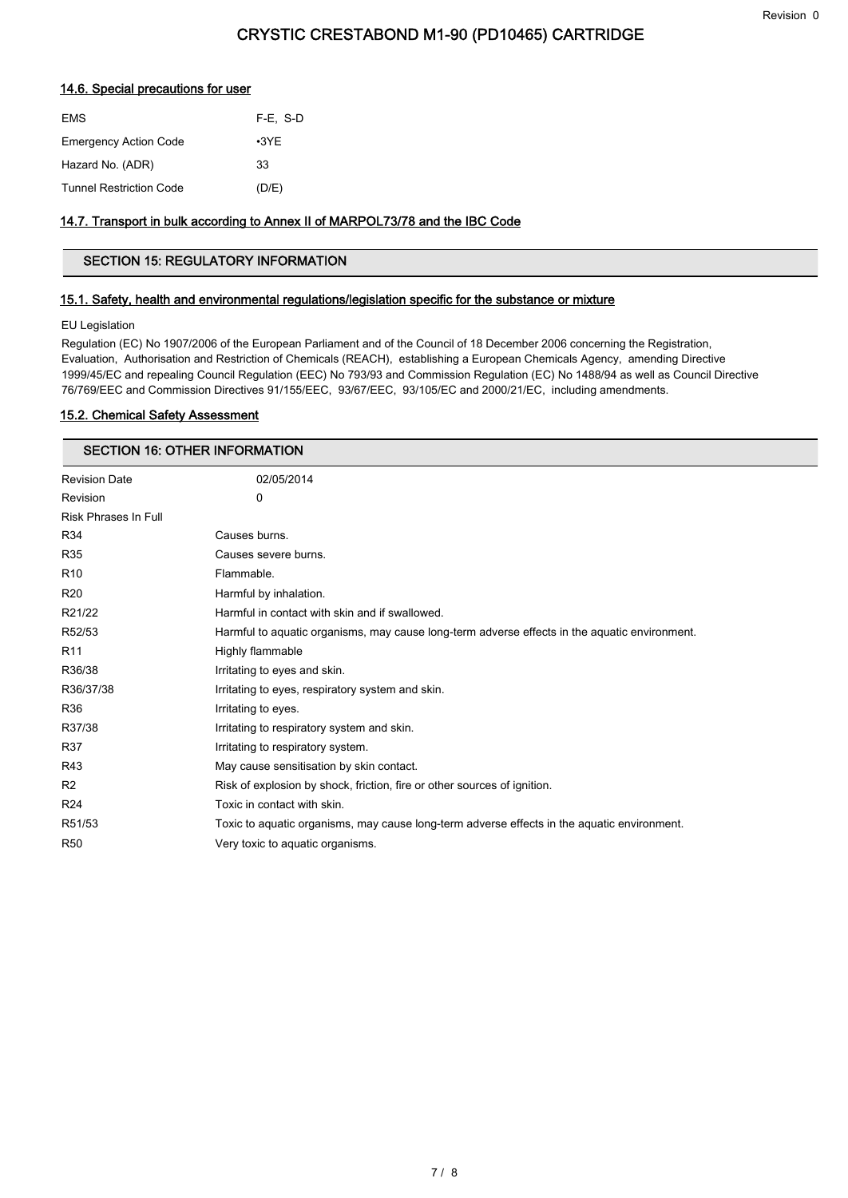#### 14.6. Special precautions for user

| <b>EMS</b>                     | $F-E. S-D$  |
|--------------------------------|-------------|
| <b>Emergency Action Code</b>   | $\cdot$ 3YE |
| Hazard No. (ADR)               | 33          |
| <b>Tunnel Restriction Code</b> | (D/E)       |

#### 14.7. Transport in bulk according to Annex II of MARPOL73/78 and the IBC Code

### SECTION 15: REGULATORY INFORMATION

#### 15.1. Safety, health and environmental regulations/legislation specific for the substance or mixture

#### EU Legislation

Regulation (EC) No 1907/2006 of the European Parliament and of the Council of 18 December 2006 concerning the Registration, Evaluation, Authorisation and Restriction of Chemicals (REACH), establishing a European Chemicals Agency, amending Directive 1999/45/EC and repealing Council Regulation (EEC) No 793/93 and Commission Regulation (EC) No 1488/94 as well as Council Directive 76/769/EEC and Commission Directives 91/155/EEC, 93/67/EEC, 93/105/EC and 2000/21/EC, including amendments.

#### 15.2. Chemical Safety Assessment

#### SECTION 16: OTHER INFORMATION

| <b>Revision Date</b>        | 02/05/2014                                                                                    |
|-----------------------------|-----------------------------------------------------------------------------------------------|
| Revision                    | 0                                                                                             |
| <b>Risk Phrases In Full</b> |                                                                                               |
| R34                         | Causes burns.                                                                                 |
| R35                         | Causes severe burns.                                                                          |
| R <sub>10</sub>             | Flammable.                                                                                    |
| R <sub>20</sub>             | Harmful by inhalation.                                                                        |
| R21/22                      | Harmful in contact with skin and if swallowed.                                                |
| R52/53                      | Harmful to aquatic organisms, may cause long-term adverse effects in the aquatic environment. |
| R <sub>11</sub>             | Highly flammable                                                                              |
| R36/38                      | Irritating to eyes and skin.                                                                  |
| R36/37/38                   | Irritating to eyes, respiratory system and skin.                                              |
| R36                         | Irritating to eyes.                                                                           |
| R37/38                      | Irritating to respiratory system and skin.                                                    |
| R37                         | Irritating to respiratory system.                                                             |
| R43                         | May cause sensitisation by skin contact.                                                      |
| R <sub>2</sub>              | Risk of explosion by shock, friction, fire or other sources of ignition.                      |
| R <sub>24</sub>             | Toxic in contact with skin.                                                                   |
| R51/53                      | Toxic to aquatic organisms, may cause long-term adverse effects in the aquatic environment.   |
| <b>R50</b>                  | Very toxic to aquatic organisms.                                                              |
|                             |                                                                                               |